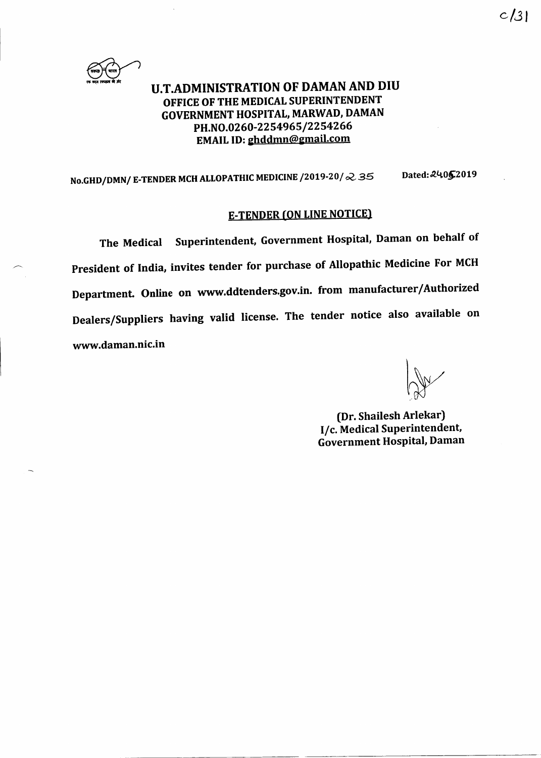

# U.T.ADMINISTRATION OF DAMAN AND DIU OFFICE OF THE MEDICAL SUPERINTENDENT GOVERNMENT HOSPITAI, MARWAD, DAMAN PH.NO.0260-2254965/2254266 EMAIL ID: ghddmn@gmail.com

# No.GHD/DMN/ E-TENDER MCH ALLOPATHIC MEDICINE /2019-20/ $\approx$  35 Dated: 24062019

# E-TENpER (oN LINE NOTICE)

The Medical Superintendent, Government Hospital, Daman on behalf of President of India, invites tender for purchase of Allopathic Medicine For MCH Department. Online on www.ddtenders.gov.in. from manufacturer/Authorized Dealers/Suppliers having valid license. The tender notice also available on www.daman.nic.in

(Dr. Shailesh Arlekar) I/c. Medical Superintendent, Government Hospital, Daman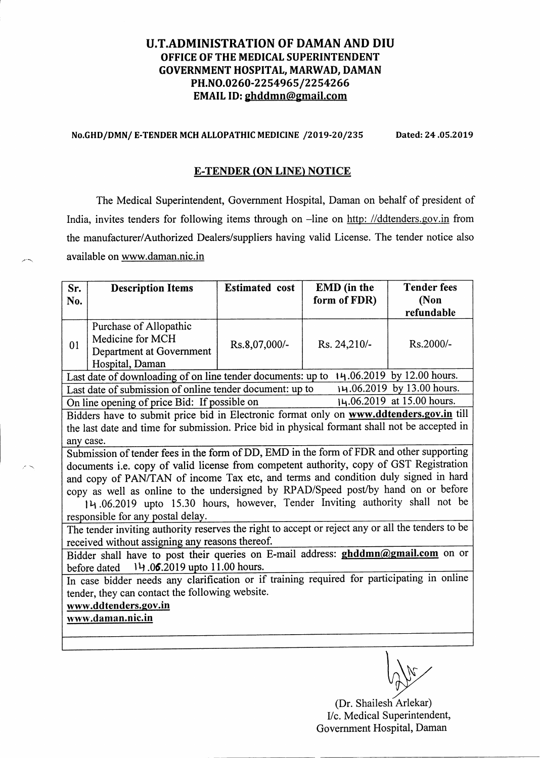## U.T.ADMINISTRATION OF DAMAN AND DIU OFFICE OF THE MEDICAL SUPERINTENDENT GOVERNMENT HOSPITAL, MARWAD, DAMAN PH.NO.0260-2254965/2254266 EMAIL ID: ghddmn@gmail.com

#### No.GHD/DMN/ E-TENDER MCH ALLOPATHIC MEDICINE /2019-20/235 Dated: 24.05.2019

#### **E-TENDER (ON LINE) NOTICE**

The Medical Superintendent, Government Hospital, Daman on behalf of president of India, invites tenders for following items through on -line on http: //ddtenders.gov.in from the manufacturer/Authorized Dealers/suppliers having valid License. The tender notice also available on www.daman.nic.in

| Sr.                                                                                               | <b>Description Items</b> | <b>Estimated</b> cost | EMD (in the  | <b>Tender fees</b> |  |  |
|---------------------------------------------------------------------------------------------------|--------------------------|-----------------------|--------------|--------------------|--|--|
| No.                                                                                               |                          |                       | form of FDR) | (Non               |  |  |
|                                                                                                   |                          |                       |              | refundable         |  |  |
| 01                                                                                                | Purchase of Allopathic   |                       |              |                    |  |  |
|                                                                                                   | Medicine for MCH         | Rs.8,07,000/-         | Rs. 24,210/- | Rs.2000/-          |  |  |
|                                                                                                   | Department at Government |                       |              |                    |  |  |
|                                                                                                   | Hospital, Daman          |                       |              |                    |  |  |
| Last date of downloading of on line tender documents: up to 14.06.2019 by 12.00 hours.            |                          |                       |              |                    |  |  |
| 14.06.2019 by 13.00 hours.<br>Last date of submission of online tender document: up to            |                          |                       |              |                    |  |  |
| 14.06.2019 at 15.00 hours.<br>On line opening of price Bid: If possible on                        |                          |                       |              |                    |  |  |
| Bidders have to submit price bid in Electronic format only on www.ddtenders.gov.in till           |                          |                       |              |                    |  |  |
| the last date and time for submission. Price bid in physical formant shall not be accepted in     |                          |                       |              |                    |  |  |
| any case.                                                                                         |                          |                       |              |                    |  |  |
| Submission of tender fees in the form of DD, EMD in the form of FDR and other supporting          |                          |                       |              |                    |  |  |
| documents i.e. copy of valid license from competent authority, copy of GST Registration           |                          |                       |              |                    |  |  |
| and copy of PAN/TAN of income Tax etc, and terms and condition duly signed in hard                |                          |                       |              |                    |  |  |
| copy as well as online to the undersigned by RPAD/Speed post/by hand on or before                 |                          |                       |              |                    |  |  |
| 14.06.2019 upto 15.30 hours, however, Tender Inviting authority shall not be                      |                          |                       |              |                    |  |  |
| responsible for any postal delay.                                                                 |                          |                       |              |                    |  |  |
| The tender inviting authority reserves the right to accept or reject any or all the tenders to be |                          |                       |              |                    |  |  |
| received without assigning any reasons thereof.                                                   |                          |                       |              |                    |  |  |
| Bidder shall have to post their queries on E-mail address: ghddmn@gmail.com on or                 |                          |                       |              |                    |  |  |
| before dated 14.06.2019 upto 11.00 hours.                                                         |                          |                       |              |                    |  |  |
| In case bidder needs any clarification or if training required for participating in online        |                          |                       |              |                    |  |  |
| tender, they can contact the following website.                                                   |                          |                       |              |                    |  |  |
| www.ddtenders.gov.in                                                                              |                          |                       |              |                    |  |  |
| www.daman.nic.in                                                                                  |                          |                       |              |                    |  |  |
|                                                                                                   |                          |                       |              |                    |  |  |
|                                                                                                   |                          |                       |              |                    |  |  |

\,In\$,/ vrA"v

(Dr. Shailesh Arlekar) Vc. Medical Superintendent, Government Hospital, Daman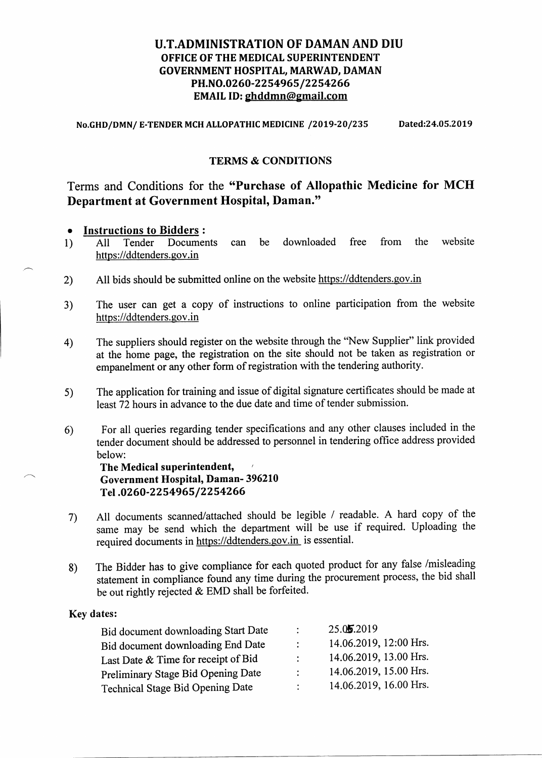## U.T.ADMINISTRATION OF DAMAN AND DIU OFFICE OF THE MEDICAL SUPERINTENDENT GOVERNMENT HOSPITAL, MARWAD, DAMAN PH.NO.0260-2254965/2254266 EMAIL ID: ghddmn@gmail.com

No.GHD/DMN/ E-TENDER MCH ALLOPATHIC MEDICINE /2019-20/235 Dated:24.05.2019

## TERMS & CONDITIONS

# Terms and Conditions for the "Purchase of Allopathic Medicine for MCH Department at Government Hospital, Daman."

# • **Instructions to Bidders :**<br>1) All Tender Documents

- 1) All Tender Documents can be downloaded free from the website https://ddtenders.gov.in
- 2) All bids should be submitted online on the website https://ddtenders.gov.in
- 3) The user can get a copy of instructions to online participation from the website https://ddtenders. gov.in
- The suppliers should register on the website through the "New Supplier" link provided at the home page, the registration on the site should not be taken as registration or empanelment or any other form of registration with the tendering authority. 4)
- The application for training and issue of digital signature certificates should be made at least 72 hours in advance to the due date and time of tender submission. s)
- 6) For all queries regarding tender specifications and any other clauses included in the tender document should be addressed to personnel in tendering office address provided below:

The Medical superintendent, Government Hospital, Daman- 396210 Tel.0260-2254965/2254266

- All documents scanned/attached should be legible / readable. A hard copy of the same may be send which the department will be use if required. Uploading the required documents in https://ddtenders.gov.in is essential. 7)
- The Bidder has to give compliance for each quoted product for any false /misleading statement in compliance found any time during the procurement process, the bid shall be out rightly rejected & EMD shall be forfeited. 8)

## Key dates:

| Bid document downloading Start Date | $\bullet$     | 25.05.2019             |
|-------------------------------------|---------------|------------------------|
| Bid document downloading End Date   | ÷             | 14.06.2019, 12:00 Hrs. |
| Last Date & Time for receipt of Bid |               | 14.06.2019, 13.00 Hrs. |
| Preliminary Stage Bid Opening Date  |               | 14.06.2019, 15.00 Hrs. |
| Technical Stage Bid Opening Date    | $\mathcal{L}$ | 14.06.2019, 16.00 Hrs. |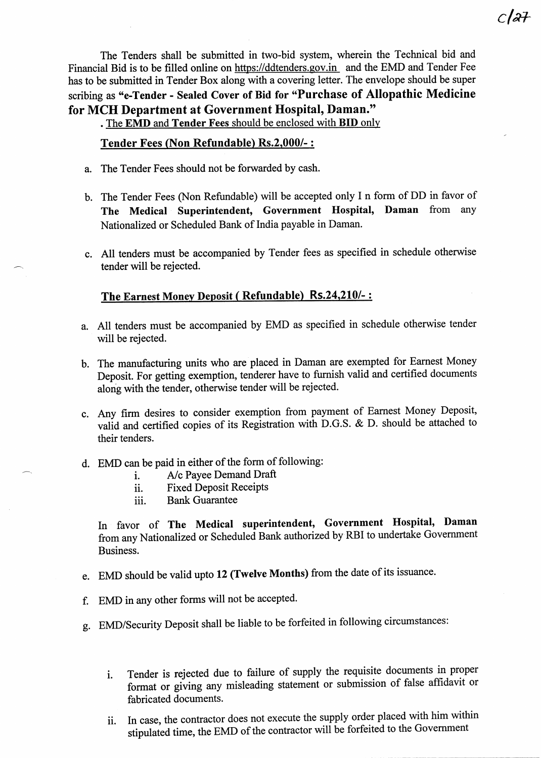The Tenders shall be submitted in two-bid system, wherein the Technical bid and Financial Bid is to be filled online on https://ddtenders.gov.in and the EMD and Tender Fee has to be submitted in Tender Box along with a covering letter. The envelope should be super scribing as "e-Tender - Sealed Cover of Bid for "Purchase of Allopathic Medicine for MCH Department at Government Hospital, Daman."

. The EMD and Tender Fees should be enclosed with BID only

#### Tender Fees (Non Refundable) Rs.2.000/- :

- a. The Tender Fees should not be forwarded by cash.
- b. The Tender Fees (Non Refundable) will be accepted only I n form of DD in favor of The Medical Superintendent, Government Hospital, Daman from any Nationalized or Scheduled Bank of India payable in Daman.
- c. All tenders must be accompanied by Tender fees as specified in schedule otherwise tender will be rejected.

# The Earnest Monev Deposit ( Refundable) Rs.24.210/- :

- a. A11 tenders must be accompanied by EMD as specified in schedule otherwise tender will be rejected.
- b. The manufacturing units who are placed in Daman are exempted for Earnest Money Deposit. For getting exemption, tenderer have to furnish valid and certified documents along with the tender, otherwise tender will be rejected.
- c. Any firm desires to consider exemption from payment of Earnest Money Deposit, valid and certified copies of its Registration with D.G.S. & D. should be attached to their tenders.
- d. EMD can be paid in either of the form of following:
	- i. A/c Payee Demand Draft<br>ii. Fixed Deposit Receipts
	- Fixed Deposit Receipts
	- iii. Bank Guarantee

In favor of The Medical superintendent, Government Hospital, Daman from any Nationalized or Scheduled Bank authorized by RBI to undertake Govemment Business.

- e. EMD should be valid upto 12 (fwelve Months) from the date of its issuance.
- f. EMD in any other forms will not be accepted.
- g. EMD/Security Deposit shall be liable to be forfeited in following circumstances:
	- Tender is rejected due to failure of supply the requisite documents in proper format or giving any misleading statement or submission of false affidavit or fabricated documents. 1.
	- In case, the contractor does not execute the supply order placed with him within stipulated time, the EMD of the contractor will be forfeited to the Government ii.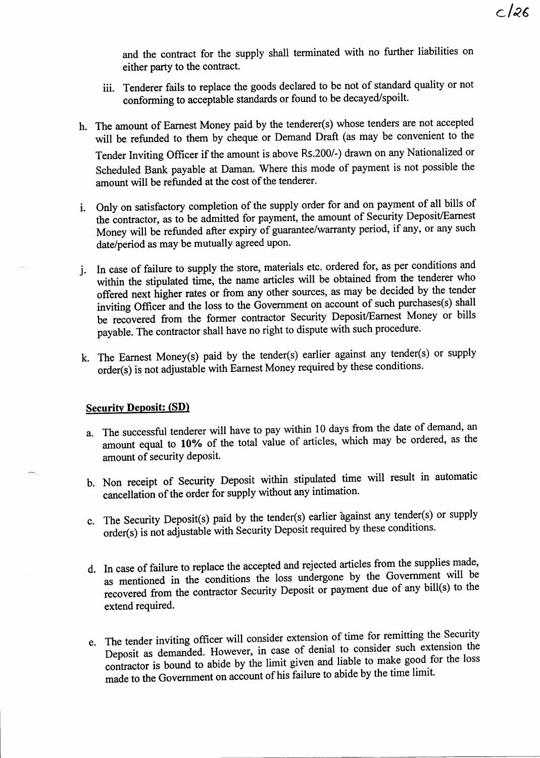and the contract for the supply shall terminated with no further liabilities on either party to the contract.

- iii. Tenderer fails to replace the goods declared to be not of standard quality or not conforming to acceptable standards or found to be decayed/spoilt.
- h. The amount of Eamest Money paid by the tenderer(s) whose tenders are not accepted will be refunded to them by cheque or Demand Draft (as may be convenient to the Tender Inviting offrcer if the amount is above Rs.200/-) drawn on any Nationalized or Scheduled Bank payable at Daman. Where this mode of payment is not possible the amount will be refunded at the cost of the tenderer.
- i. Only on satisfactory completion of the supply order for and on payment of all bills of the contactor, as to be admitted for payment, the amount of Security Deposit/Eamest Money will be refunded after expiry of guarantee/warranty period, if any, or any such date/period as may be mutually agreed upon.
- j. In case of failure to supply the store, materials etc. ordered for, as per conditions and I. In case of failure to supply the store, materials etc. offered for, as per contained the within the stipulated time, the name articles will be obtained from the tenderer who offered next higher rates or from any other s offered next higher rates or from any other sources, as may be decided by the tender inviting Officer and the loss to the Government on account of such purchases(s) shall be recovered from the former contractor Security Deposit/Earnest Money or bills payable. The contractor shall have no right to dispute with such procedure.
- k. The Earnest Money(s) paid by the tender(s) earlier against any tender(s) or supply order(s) is not adjustable with Earnest Money required by these conditions.

#### Securitv Deposit: (SD)

- a. The successful tenderer will have to pay within 10 days from the date of demand, an amount equal to 10% of the total value of articles, which may be ordered, as the amount of security deposit.
- b. Non receipt of Security Deposit within stipulated time will result in automatic cancellation of the order for supply without any intimation.
- c. The Security Deposit(s) paid by the tender(s) earlier against any tender(s) or supply order(s) is not adjustable with Security Deposit required by these conditions.
- d. In case of failure to replace the accepted and rejected articles from the supplies made, as mentioned in the conditions the loss undergone by the Government will be recovered from the contractor Security Deposit or payment due of any bill(s) to the extend required.
- e. The tender inviting officer will consider extension of time for remitting the Security<br>Deposit as demanded. However, in case of denial to consider such extension the contractor is bound to abide by the limit given and liable to make good for the loss made to the Government on account of his failure to abide by the time limit.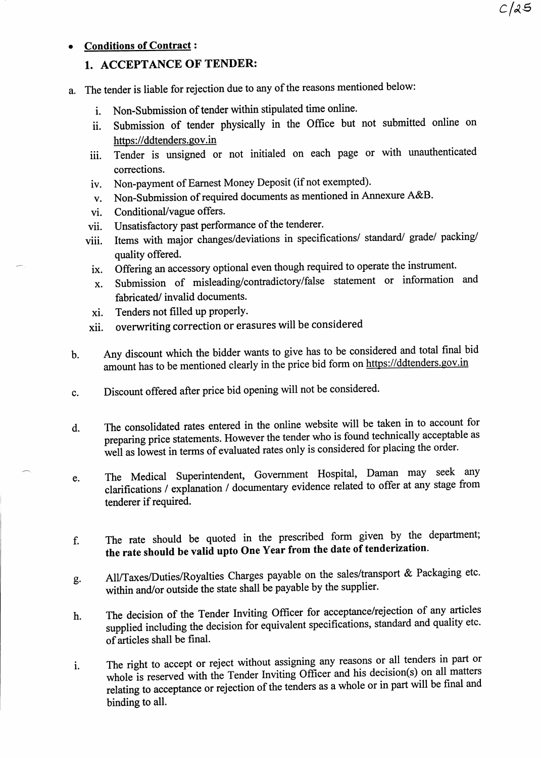# **Conditions of Contract:**

# 1. ACCEPTANCE OF TENDER:

- a. The tender is liable for rejection due to any of the reasons mentioned below:
	- i. Non-Submission of tender within stipulated time online.
	- ii. Submission of tender physically in the Office but not submifted online on https://ddtenders.gov.in
	- iii. Tender is unsigned or not initialed on each page or with unauthenticated corrections.
	- iv. Non-payment of Earnest Money Deposit (if not exempted).
	- v. Non-submission of required documents as mentioned in Annexure A&B.
	- vi. Conditional/vague offers.
	- vii. Unsatisfactory past performance of the tenderer.
	- viii. Items with major changes/deviations in specifications/ standard/ grade/ packing/ quality offered.
		- ix. Offering an accessory optional even though required to operate the instrument.
		- x. Submission of misleading/contradictory/false statement or information and fabricated/ invalid documents.
		- xi. Tenders not filled up properly.
	- xii. overwriting correction or erasures will be considered
- Any discount which the bidder wants to give has to be considered and total final bid amount has to be mentioned clearly in the price bid form on https://ddtenders.gov.in  $<sub>b</sub>$ .</sub>
- Discount offered after price bid opening will not be considered. c.
- The consolidated rates entered in the online website will be taken in to account for preparing price statements. However the tender who is found technically acceptable as well as lowest in terms of evaluated rates only is considered for placing the order. d.
- The Medical Superintendent, Govemment Hospital, Daman may seek any clarifications / explanation / documentary evidence related to offer at any stage from tenderer if required. e.
- f. The rate should be quoted in the prescribed form given by the department; the rate should be valid upto One Year from the date of tenderization.
- g. All/Taxes/Duties/Royalties Charges payable on the sales/transport & Packaging etc. within and/or outside the state shatl be payable by the supplier.
- h. The decision of the Tender Inviting Officer for acceptance/rejection of any articles supplied including the decision for equivalent specifications, standard and quality etc. of articles shall be final.
- i. The right to accept or reject without assigning any reasons or all tenders in part or whole is reserved with the Tender Inviting Officer and his decision(s) on all matters relating to acceptance or rejection of the tenders as a whole or in part will be final and binding to all.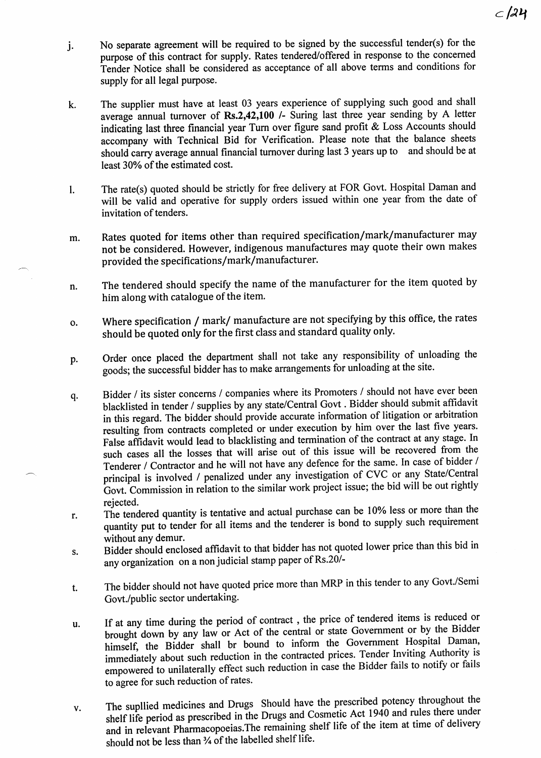- j. No separate agreement will be required to be signed by the successful tender(s) for the purpose of this contract for supply. Rates tendered/offered in response to the concerned Tender Notice shall be considered as acceptance of all above terms and conditions for supply for all legal purpose.
- k. The supplier must have at least 03 years experience of supplying such good and shall average annual turnover of Rs.2,42,100  $\prime$ - Suring last three year sending by A letter indicating last three financial year Turn over figure sand profit  $\&$  Loss Accounts should accompany with Technical Bid for Verification. Please note that the balance sheets should carry average annual financial turnover during last 3 years up to and should be at least 30% of the estimated cost.
- l. The rate(s) quoted should be strictly for free delivery at FOR Govt. Hospital Daman and will be valid and operative for supply orders issued within one year from the date of invitation of tenders.
- m. Rates quoted for items other than required specification/mark/manufacturer may not be considered. However, indigenous manufactures may quote their own makes provided the specifications/mark/manufacturer.
- n. The tendered should specify the name of the manufacturer for the item quoted by him along with catalogue of the item.
- o. Where specification / mark/ manufacture are not specifying by this office, the rates should be quoted only for the first class and standard quality only.
- p. Order once placed the department shall not take any responsibility of unloading the goods; the successful bidder has to make arrangements for unloading at the site.
- q. Bidder / its sister concems / companies where its Promoters / should not have ever been blacklisted in tender / supplies by any state/Central Govt . Bidder should submit affrdavit in this regard. The bidder should provide accurate information of litigation or arbitration resulting from contracts completed or under execution by him over the last five years. False affidavit would lead to blacklisting and termination of the contract at any stage. In such cases all the losses that will arise out of this issue will be recovered from the Tenderer / Confractor and he will not have any defence for the same. In case of bidder / principal is involved / penalized under any investigation of CVC or any State/Central Govt. Commission in relation to the similar work project issue; the bid will be out rightly rejected.
- r. The tendered quantity is tentative and actual purchase can be l0% less or more than the quantity put to tender for all items and the tenderer is bond to supply such requirement without any demur.
- s. Bidder should enclosed affrdavit to that bidder has not quoted lower price than this bid in any organization on a non judicial stamp paper of Rs.20/-
- t. The bidder should not have quoted price more than MRP in this tender to any Govt./Semi Govt./public sector undertaking.
- u. If at any time during the period of contract , the price of tendered items is reduced or brought down by any law or Act of the central or state Government or by the Bidder<br>himself, the Bidder shall br bound to inform the Government Hospital Daman, brought down by any law or Act of the central or state Government or by the Bidder immediately about such reduction in the contracted prices. Tender Inviting Authority is empowered to unilaterally effect such reduction in case the Bidder fails to notify or fails to agree for such reduction of rates.
- v. The supllied medicines and Drugs Should have the prescribed potency throughout the shelf life period as prescribed in the Drugs and Cosmetic Act 1940 and rules there under and in relevant Pharmacopoeias. The remaining shelf life of the item at time of delivery should not be less than  $\frac{1}{4}$  of the labelled shelf life.